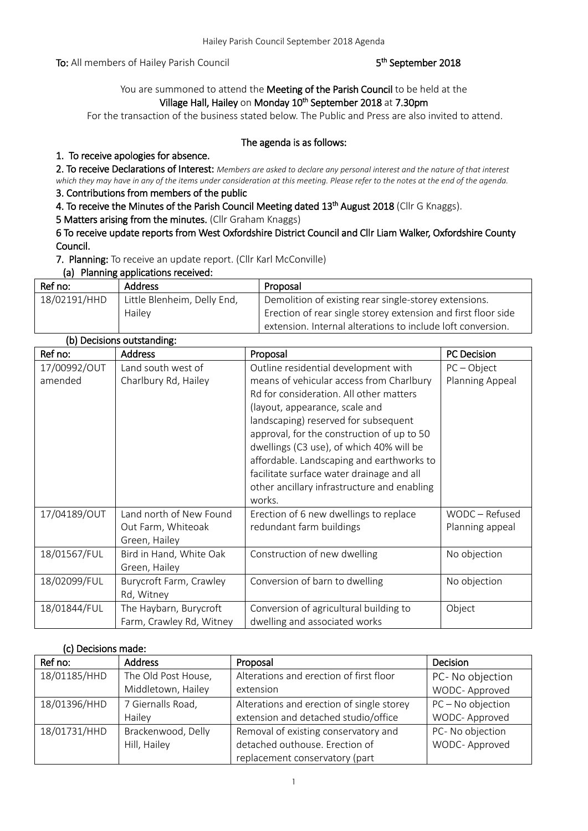To: All members of Hailey Parish Council

#### <sup>th</sup> September 2018

## You are summoned to attend the Meeting of the Parish Council to be held at the Village Hall, Hailey on Monday 10<sup>th</sup> September 2018 at 7.30pm

For the transaction of the business stated below. The Public and Press are also invited to attend.

#### The agenda is as follows:

#### 1. To receive apologies for absence.

2. To receive Declarations of Interest: *Members are asked to declare any personal interest and the nature of that interest which they may have in any of the items under consideration at this meeting. Please refer to the notes at the end of the agenda.*

## 3. Contributions from members of the public

4. To receive the Minutes of the Parish Council Meeting dated 13<sup>th</sup> August 2018 (Cllr G Knaggs).

5 Matters arising from the minutes. (Cllr Graham Knaggs)

6 To receive update reports from West Oxfordshire District Council and Cllr Liam Walker, Oxfordshire County Council.

7. Planning: To receive an update report. (Cllr Karl McConville)

#### (a) Planning applications received:

| Ref no:      | <b>Address</b>              | Proposal                                                      |
|--------------|-----------------------------|---------------------------------------------------------------|
| 18/02191/HHD | Little Blenheim, Delly End, | Demolition of existing rear single-storey extensions.         |
|              | Hailey                      | Erection of rear single storey extension and first floor side |
|              |                             | extension. Internal alterations to include loft conversion.   |

| (b) Decisions outstanding: |                          |                                             |                    |
|----------------------------|--------------------------|---------------------------------------------|--------------------|
| Ref no:                    | <b>Address</b>           | Proposal                                    | <b>PC Decision</b> |
| 17/00992/OUT               | Land south west of       | Outline residential development with        | $PC - Object$      |
| amended                    | Charlbury Rd, Hailey     | means of vehicular access from Charlbury    | Planning Appeal    |
|                            |                          | Rd for consideration. All other matters     |                    |
|                            |                          | (layout, appearance, scale and              |                    |
|                            |                          | landscaping) reserved for subsequent        |                    |
|                            |                          | approval, for the construction of up to 50  |                    |
|                            |                          | dwellings (C3 use), of which 40% will be    |                    |
|                            |                          | affordable. Landscaping and earthworks to   |                    |
|                            |                          | facilitate surface water drainage and all   |                    |
|                            |                          | other ancillary infrastructure and enabling |                    |
|                            |                          | works.                                      |                    |
| 17/04189/OUT               | Land north of New Found  | Erection of 6 new dwellings to replace      | WODC - Refused     |
|                            | Out Farm, Whiteoak       | redundant farm buildings                    | Planning appeal    |
|                            | Green, Hailey            |                                             |                    |
| 18/01567/FUL               | Bird in Hand, White Oak  | Construction of new dwelling                | No objection       |
|                            | Green, Hailey            |                                             |                    |
| 18/02099/FUL               | Burycroft Farm, Crawley  | Conversion of barn to dwelling              | No objection       |
|                            | Rd, Witney               |                                             |                    |
| 18/01844/FUL               | The Haybarn, Burycroft   | Conversion of agricultural building to      | Object             |
|                            | Farm, Crawley Rd, Witney | dwelling and associated works               |                    |

#### (c) Decisions made:

| Ref no:      | <b>Address</b>      | Proposal                                  | <b>Decision</b>   |
|--------------|---------------------|-------------------------------------------|-------------------|
| 18/01185/HHD | The Old Post House, | Alterations and erection of first floor   | PC- No objection  |
|              | Middletown, Hailey  | extension                                 | WODC-Approved     |
| 18/01396/HHD | 7 Giernalls Road,   | Alterations and erection of single storey | PC - No objection |
|              | Hailey              | extension and detached studio/office      | WODC- Approved    |
| 18/01731/HHD | Brackenwood, Delly  | Removal of existing conservatory and      | PC- No objection  |
|              | Hill, Hailey        | detached outhouse. Erection of            | WODC-Approved     |
|              |                     | replacement conservatory (part            |                   |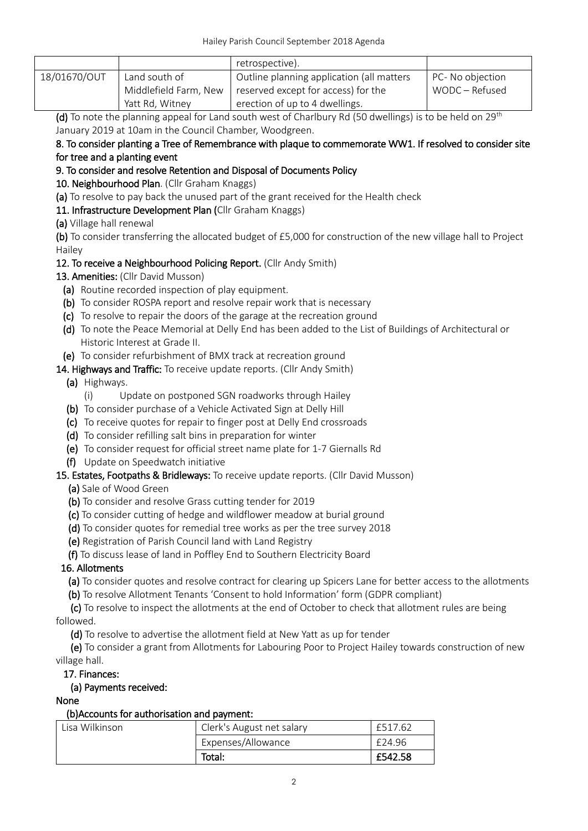|              |                       | retrospective).                           |                  |
|--------------|-----------------------|-------------------------------------------|------------------|
| 18/01670/OUT | Land south of         | Outline planning application (all matters | PC- No objection |
|              | Middlefield Farm, New | reserved except for access) for the       | WODC – Refused   |
|              | Yatt Rd, Witney       | erection of up to 4 dwellings.            |                  |

(d) To note the planning appeal for Land south west of Charlbury Rd (50 dwellings) is to be held on  $29^{th}$ January 2019 at 10am in the Council Chamber, Woodgreen.

## 8. To consider planting a Tree of Remembrance with plaque to commemorate WW1. If resolved to consider site for tree and a planting event

# 9. To consider and resolve Retention and Disposal of Documents Policy

10. Neighbourhood Plan. (Cllr Graham Knaggs)

(a) To resolve to pay back the unused part of the grant received for the Health check

## 11. Infrastructure Development Plan (Cllr Graham Knaggs)

(a) Village hall renewal

(b) To consider transferring the allocated budget of £5,000 for construction of the new village hall to Project Hailey

# 12. To receive a Neighbourhood Policing Report. (Cllr Andy Smith)

13. Amenities: (Cllr David Musson)

- (a) Routine recorded inspection of play equipment.
- (b) To consider ROSPA report and resolve repair work that is necessary
- (c) To resolve to repair the doors of the garage at the recreation ground
- (d) To note the Peace Memorial at Delly End has been added to the List of Buildings of Architectural or Historic Interest at Grade II.
- (e) To consider refurbishment of BMX track at recreation ground
- 14. Highways and Traffic: To receive update reports. (Cllr Andy Smith)
	- (a) Highways.
		- (i) Update on postponed SGN roadworks through Hailey
	- (b) To consider purchase of a Vehicle Activated Sign at Delly Hill
	- (c) To receive quotes for repair to finger post at Delly End crossroads
	- (d) To consider refilling salt bins in preparation for winter
	- (e) To consider request for official street name plate for 1-7 Giernalls Rd
	- (f) Update on Speedwatch initiative

# 15. Estates, Footpaths & Bridleways: To receive update reports. (Cllr David Musson)

(a) Sale of Wood Green

- (b) To consider and resolve Grass cutting tender for 2019
- (c) To consider cutting of hedge and wildflower meadow at burial ground
- (d) To consider quotes for remedial tree works as per the tree survey 2018
- (e) Registration of Parish Council land with Land Registry

(f) To discuss lease of land in Poffley End to Southern Electricity Board

# 16. Allotments

(a) To consider quotes and resolve contract for clearing up Spicers Lane for better access to the allotments

(b) To resolve Allotment Tenants 'Consent to hold Information' form (GDPR compliant)

 (c) To resolve to inspect the allotments at the end of October to check that allotment rules are being followed.

(d) To resolve to advertise the allotment field at New Yatt as up for tender

 (e) To consider a grant from Allotments for Labouring Poor to Project Hailey towards construction of new village hall.

17. Finances:

# (a) Payments received:

#### None

# (b)Accounts for authorisation and payment:

| Lisa Wilkinson | Clerk's August net salary | £517.62 |
|----------------|---------------------------|---------|
|                | Expenses/Allowance        | £24.96  |
|                | Total:                    | £542.58 |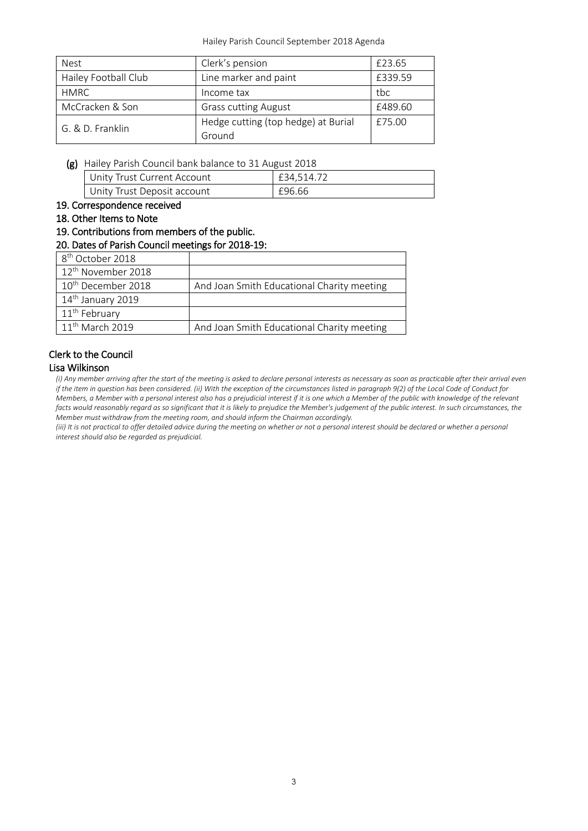| Nest                 | Clerk's pension                     | £23.65  |
|----------------------|-------------------------------------|---------|
| Hailey Football Club | Line marker and paint               | £339.59 |
| <b>HMRC</b>          | Income tax                          | tbc     |
| McCracken & Son      | <b>Grass cutting August</b>         | £489.60 |
| G. & D. Franklin     | Hedge cutting (top hedge) at Burial | £75.00  |
|                      | Ground                              |         |

(g) Hailey Parish Council bank balance to 31 August 2018

| Unity Trust Current Account | £34.514.72 |
|-----------------------------|------------|
| Unity Trust Deposit account | £96.66     |

- 19. Correspondence received
- 18. Other Items to Note
- 19. Contributions from members of the public.

#### 20. Dates of Parish Council meetings for 2018-19:

| 8 <sup>th</sup> October 2018   |                                            |
|--------------------------------|--------------------------------------------|
| 12 <sup>th</sup> November 2018 |                                            |
| 10 <sup>th</sup> December 2018 | And Joan Smith Educational Charity meeting |
| 14 <sup>th</sup> January 2019  |                                            |
| 11 <sup>th</sup> February      |                                            |
| 11 <sup>th</sup> March 2019    | And Joan Smith Educational Charity meeting |

# Clerk to the Council

#### Lisa Wilkinson

*(i) Any member arriving after the start of the meeting is asked to declare personal interests as necessary as soon as practicable after their arrival even if the item in question has been considered. (ii) With the exception of the circumstances listed in paragraph 9(2) of the Local Code of Conduct for Members, a Member with a personal interest also has a prejudicial interest if it is one which a Member of the public with knowledge of the relevant facts would reasonably regard as so significant that it is likely to prejudice the Member's judgement of the public interest. In such circumstances, the Member must withdraw from the meeting room, and should inform the Chairman accordingly.*

*(iii)* It is not practical to offer detailed advice during the meeting on whether or not a personal interest should be declared or whether a personal *interest should also be regarded as prejudicial.*